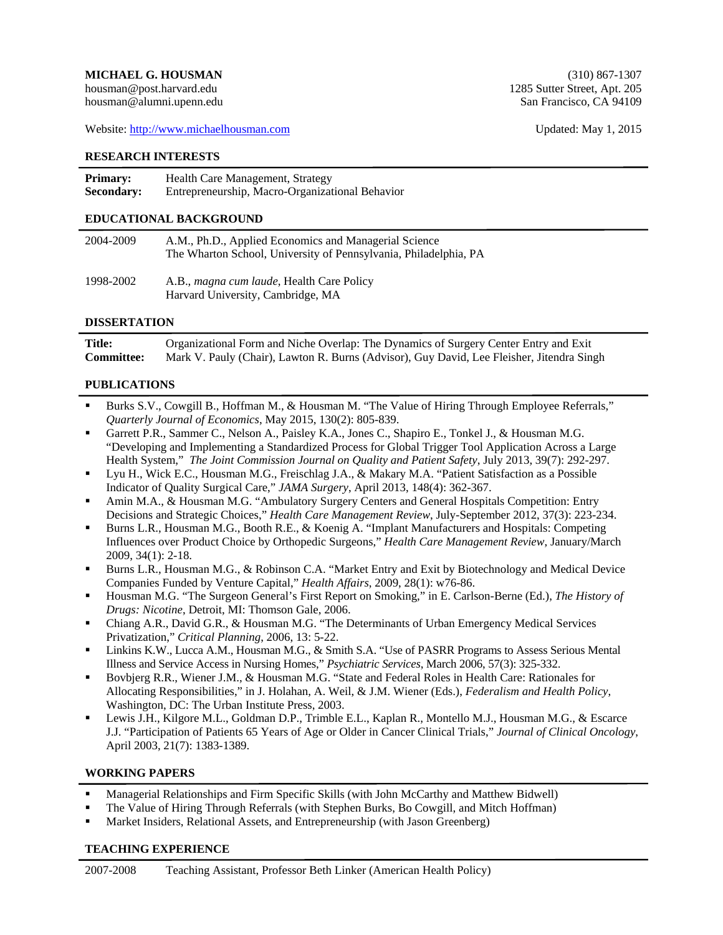Website: http://www.michaelhousman.com Updated: May 1, 2015

#### **RESEARCH INTERESTS**

| <b>Primary:</b>   | Health Care Management, Strategy                |
|-------------------|-------------------------------------------------|
| <b>Secondary:</b> | Entrepreneurship, Macro-Organizational Behavior |

# **EDUCATIONAL BACKGROUND**

| 2004-2009 | A.M., Ph.D., Applied Economics and Managerial Science<br>The Wharton School, University of Pennsylvania, Philadelphia, PA |
|-----------|---------------------------------------------------------------------------------------------------------------------------|
| 1998-2002 | A.B., <i>magna cum laude</i> , Health Care Policy<br>Harvard University, Cambridge, MA                                    |

#### **DISSERTATION**

í

l

**Title:** Organizational Form and Niche Overlap: The Dynamics of Surgery Center Entry and Exit **Committee:** Mark V. Pauly (Chair), Lawton R. Burns (Advisor), Guy David, Lee Fleisher, Jitendra Singh

#### **PUBLICATIONS**

- Burks S.V., Cowgill B., Hoffman M., & Housman M. "The Value of Hiring Through Employee Referrals," *Quarterly Journal of Economics*, May 2015, 130(2): 805-839.
- Garrett P.R., Sammer C., Nelson A., Paisley K.A., Jones C., Shapiro E., Tonkel J., & Housman M.G. "Developing and Implementing a Standardized Process for Global Trigger Tool Application Across a Large Health System," *The Joint Commission Journal on Quality and Patient Safety*, July 2013, 39(7): 292-297.
- Lyu H., Wick E.C., Housman M.G., Freischlag J.A., & Makary M.A. "Patient Satisfaction as a Possible Indicator of Quality Surgical Care," *JAMA Surgery*, April 2013, 148(4): 362-367.
- Amin M.A., & Housman M.G. "Ambulatory Surgery Centers and General Hospitals Competition: Entry Decisions and Strategic Choices," *Health Care Management Review*, July-September 2012, 37(3): 223-234.
- Burns L.R., Housman M.G., Booth R.E., & Koenig A. "Implant Manufacturers and Hospitals: Competing Influences over Product Choice by Orthopedic Surgeons," *Health Care Management Review*, January/March 2009, 34(1): 2-18.
- Burns L.R., Housman M.G., & Robinson C.A. "Market Entry and Exit by Biotechnology and Medical Device Companies Funded by Venture Capital," *Health Affairs*, 2009, 28(1): w76-86.
- Housman M.G. "The Surgeon General's First Report on Smoking," in E. Carlson-Berne (Ed.), *The History of Drugs: Nicotine*, Detroit, MI: Thomson Gale, 2006.
- Chiang A.R., David G.R., & Housman M.G. "The Determinants of Urban Emergency Medical Services Privatization," *Critical Planning*, 2006, 13: 5-22.
- Linkins K.W., Lucca A.M., Housman M.G., & Smith S.A. "Use of PASRR Programs to Assess Serious Mental Illness and Service Access in Nursing Homes," *Psychiatric Services*, March 2006, 57(3): 325-332.
- Bovbjerg R.R., Wiener J.M., & Housman M.G. "State and Federal Roles in Health Care: Rationales for Allocating Responsibilities," in J. Holahan, A. Weil, & J.M. Wiener (Eds.), *Federalism and Health Policy*, Washington, DC: The Urban Institute Press, 2003.
- Lewis J.H., Kilgore M.L., Goldman D.P., Trimble E.L., Kaplan R., Montello M.J., Housman M.G., & Escarce J.J. "Participation of Patients 65 Years of Age or Older in Cancer Clinical Trials," *Journal of Clinical Oncology*, April 2003, 21(7): 1383-1389.

### **WORKING PAPERS**

í

ł

- Managerial Relationships and Firm Specific Skills (with John McCarthy and Matthew Bidwell)
- The Value of Hiring Through Referrals (with Stephen Burks, Bo Cowgill, and Mitch Hoffman)
- Market Insiders, Relational Assets, and Entrepreneurship (with Jason Greenberg)

#### **TEACHING EXPERIENCE**

housman@alumni.upenn.edu San Francisco, CA 94109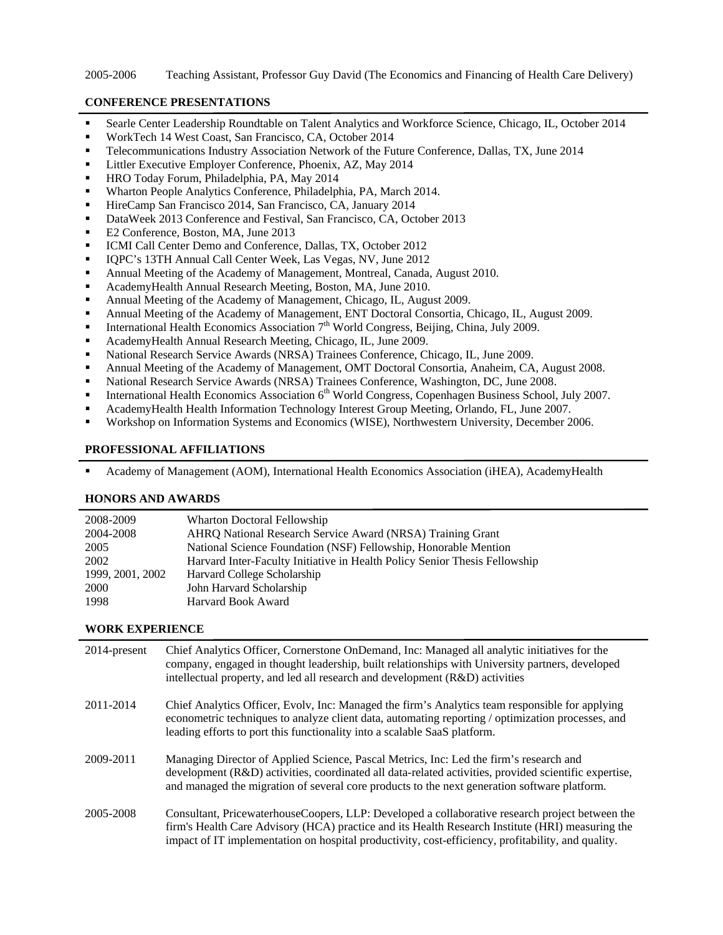### 2005-2006 Teaching Assistant, Professor Guy David (The Economics and Financing of Health Care Delivery)

### **CONFERENCE PRESENTATIONS**

í

í

í

- Searle Center Leadership Roundtable on Talent Analytics and Workforce Science, Chicago, IL, October 2014
- WorkTech 14 West Coast, San Francisco, CA, October 2014
- Telecommunications Industry Association Network of the Future Conference, Dallas, TX, June 2014
- Littler Executive Employer Conference, Phoenix, AZ, May 2014
- HRO Today Forum, Philadelphia, PA, May 2014
- Wharton People Analytics Conference, Philadelphia, PA, March 2014.
- HireCamp San Francisco 2014, San Francisco, CA, January 2014
- DataWeek 2013 Conference and Festival, San Francisco, CA, October 2013
- E2 Conference, Boston, MA, June 2013
- **ICMI Call Center Demo and Conference, Dallas, TX, October 2012**
- IQPC's 13TH Annual Call Center Week, Las Vegas, NV, June 2012
- Annual Meeting of the Academy of Management, Montreal, Canada, August 2010.
- AcademyHealth Annual Research Meeting, Boston, MA, June 2010.
- Annual Meeting of the Academy of Management, Chicago, IL, August 2009.
- Annual Meeting of the Academy of Management, ENT Doctoral Consortia, Chicago, IL, August 2009.
- **International Health Economics Association**  $7<sup>th</sup>$  World Congress, Beijing, China, July 2009.
- AcademyHealth Annual Research Meeting, Chicago, IL, June 2009.
- National Research Service Awards (NRSA) Trainees Conference, Chicago, IL, June 2009.
- Annual Meeting of the Academy of Management, OMT Doctoral Consortia, Anaheim, CA, August 2008.
- National Research Service Awards (NRSA) Trainees Conference, Washington, DC, June 2008.
- **International Health Economics Association**  $6<sup>th</sup>$  **World Congress, Copenhagen Business School, July 2007.**
- AcademyHealth Health Information Technology Interest Group Meeting, Orlando, FL, June 2007.
- Workshop on Information Systems and Economics (WISE), Northwestern University, December 2006.

# **PROFESSIONAL AFFILIATIONS**

Academy of Management (AOM), International Health Economics Association (iHEA), AcademyHealth

### **HONORS AND AWARDS**

| 2008-2009        | Wharton Doctoral Fellowship                                                |
|------------------|----------------------------------------------------------------------------|
| 2004-2008        | AHRQ National Research Service Award (NRSA) Training Grant                 |
| 2005             | National Science Foundation (NSF) Fellowship, Honorable Mention            |
| 2002             | Harvard Inter-Faculty Initiative in Health Policy Senior Thesis Fellowship |
| 1999, 2001, 2002 | Harvard College Scholarship                                                |
| <b>2000</b>      | John Harvard Scholarship                                                   |
| 1998             | Harvard Book Award                                                         |
|                  |                                                                            |

# **WORK EXPERIENCE**

| 2014-present | Chief Analytics Officer, Cornerstone OnDemand, Inc: Managed all analytic initiatives for the<br>company, engaged in thought leadership, built relationships with University partners, developed<br>intellectual property, and led all research and development (R&D) activities                           |
|--------------|-----------------------------------------------------------------------------------------------------------------------------------------------------------------------------------------------------------------------------------------------------------------------------------------------------------|
| 2011-2014    | Chief Analytics Officer, Evolv, Inc: Managed the firm's Analytics team responsible for applying<br>econometric techniques to analyze client data, automating reporting / optimization processes, and<br>leading efforts to port this functionality into a scalable SaaS platform.                         |
| 2009-2011    | Managing Director of Applied Science, Pascal Metrics, Inc: Led the firm's research and<br>development (R&D) activities, coordinated all data-related activities, provided scientific expertise,<br>and managed the migration of several core products to the next generation software platform.           |
| 2005-2008    | Consultant, PricewaterhouseCoopers, LLP: Developed a collaborative research project between the<br>firm's Health Care Advisory (HCA) practice and its Health Research Institute (HRI) measuring the<br>impact of IT implementation on hospital productivity, cost-efficiency, profitability, and quality. |